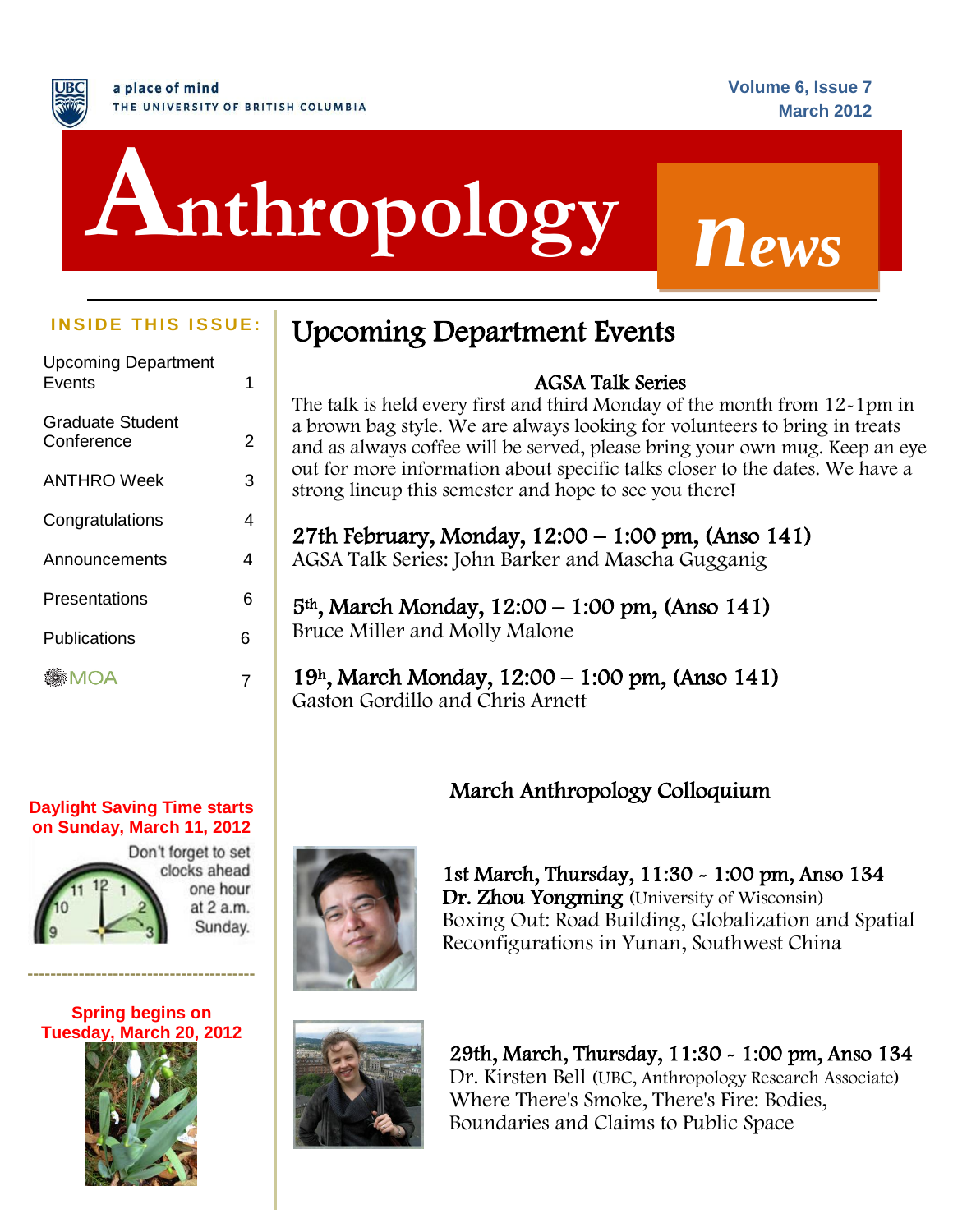# j **Anthropology** *<sup>n</sup>ews*

| <b>Upcoming Department</b><br>Fvents | 1 |  |
|--------------------------------------|---|--|
| Graduate Student<br>Conference       | 2 |  |
| <b>ANTHRO</b> Week                   | 3 |  |
| Congratulations                      | 4 |  |
| Announcements                        | 4 |  |
| Presentations                        | 6 |  |
| Publications                         | 6 |  |
| MOA                                  |   |  |

#### **Daylight Saving Time starts on Sunday, March 11, 2012**



**Spring begins on Tuesday, March 20, 2012**

**----------------------------------------**



### **INSIDE THIS ISSUE:** Upcoming Department Events

### AGSA Talk Series

The talk is held every first and third Monday of the month from 12-1pm in a brown bag style. We are always looking for volunteers to bring in treats and as always coffee will be served, please bring your own mug. Keep an eye out for more information about specific talks closer to the dates. We have a strong lineup this semester and hope to see you there!

27th February, Monday, 12:00 – 1:00 pm, (Anso 141) AGSA Talk Series: John Barker and Mascha Gugganig

5th, March Monday, 12:00 – 1:00 pm, (Anso 141) Bruce Miller and Molly Malone

19h, March Monday, 12:00 – 1:00 pm, (Anso 141) Gaston Gordillo and Chris Arnett

March Anthropology Colloquium



1st March, Thursday, 11:30 - 1:00 pm, Anso 134 Dr. Zhou Yongming (University of Wisconsin) Boxing Out: Road Building, Globalization and Spatial Reconfigurations in Yunan, Southwest China



29th, March, Thursday, 11:30 - 1:00 pm, Anso 134 Dr. Kirsten Bell (UBC, Anthropology Research Associate) Where There's Smoke, There's Fire: Bodies, Boundaries and Claims to Public Space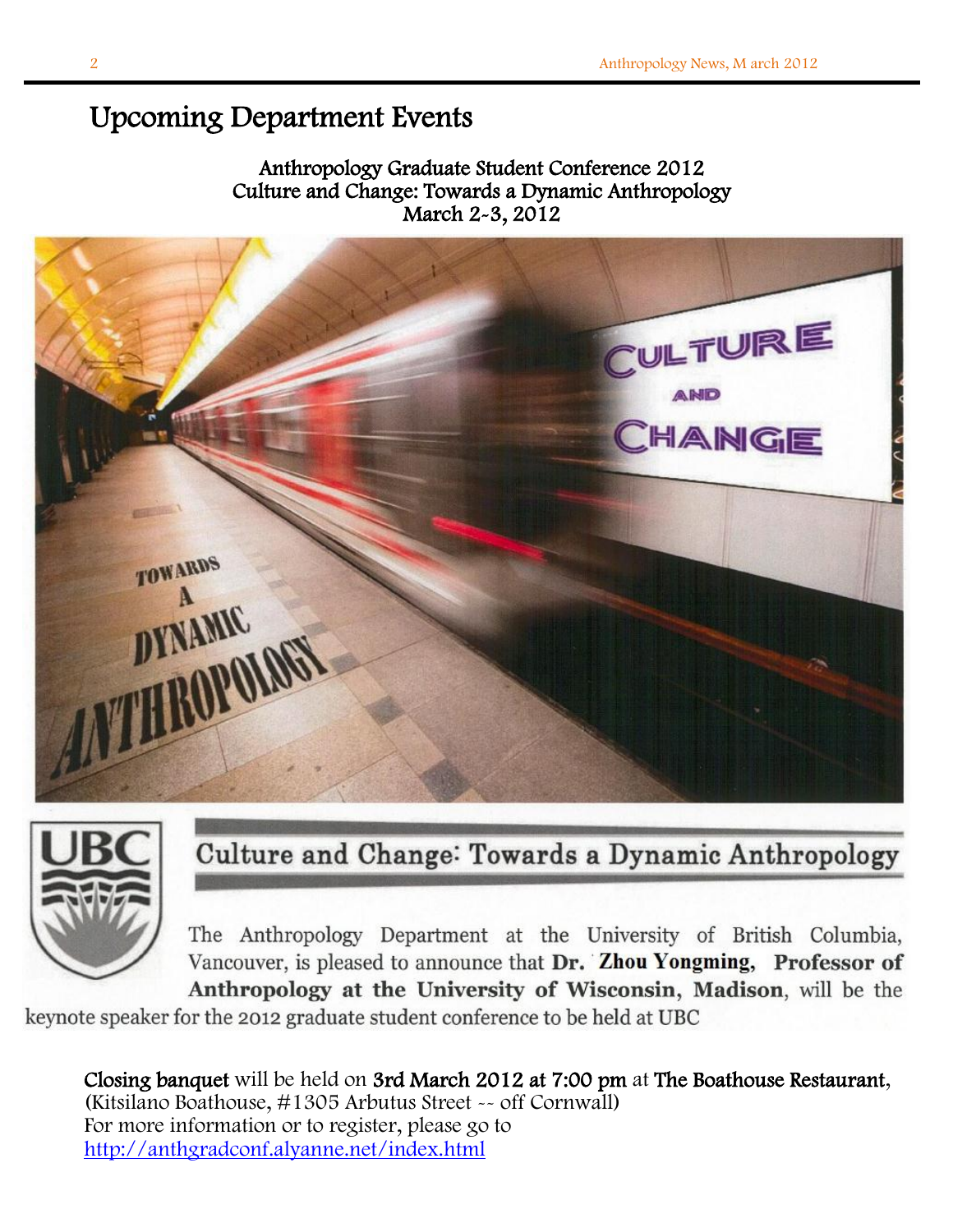### Upcoming Department Events

### Anthropology Graduate Student Conference 2012 Culture and Change: Towards a Dynamic Anthropology March 2-3, 2012





### Culture and Change: Towards a Dynamic Anthropology

The Anthropology Department at the University of British Columbia, Vancouver, is pleased to announce that Dr. Zhou Yongming, Professor of Anthropology at the University of Wisconsin, Madison, will be the

e

 $\overline{a}$ Closing banquet will be held on 3rd March 2012 at 7:00 pm at The Boathouse Restaurant, (Kitsilano Boathouse, #1305 Arbutus Street -- off Cornwall) For more information or to register, please go to <http://anthgradconf.alyanne.net/index.html>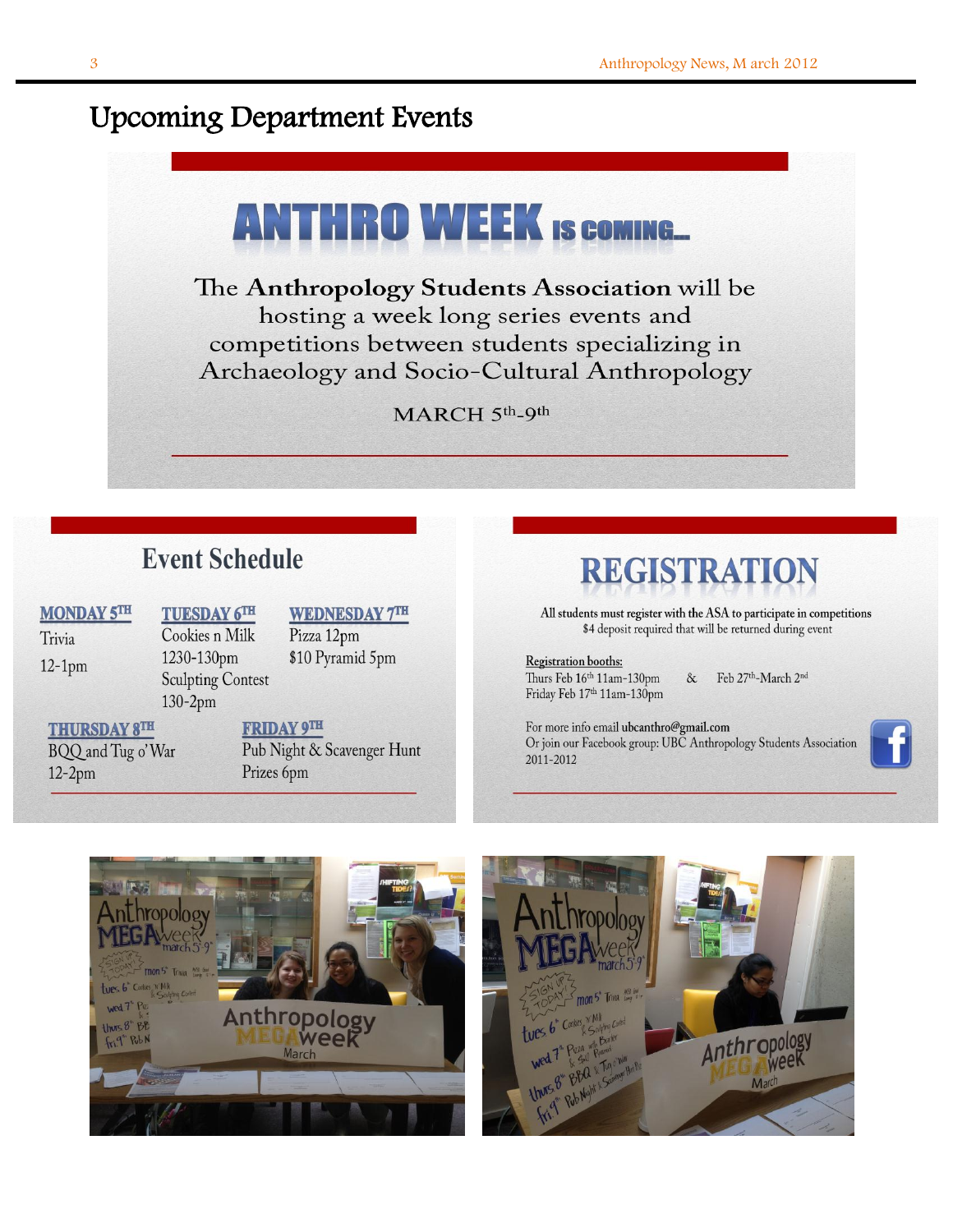### Upcoming Department Events



l,

### **Event Schedule**

**MONDAY 5TH** Trivia

 $12-1$ pm

**TUESDAY 6TH** Cookies n Milk 1230-130pm **Sculpting Contest**  $130-2pm$ 

**WEDNESDAY 7TH** Pizza 12pm \$10 Pyramid 5pm

**THURSDAY 8TH** 

BQQ and Tug o'War  $12-2<sub>pm</sub>$ 

**FRIDAY 9TH** Pub Night & Scavenger Hunt Prizes 6pm

## **REGISTRATION**

All students must register with the ASA to participate in competitions \$4 deposit required that will be returned during event

Registration booths: Thurs Feb 16th 11am-130pm Friday Feb 17th 11am-130pm

Feb 27th-March 2nd  $\&$ 

For more info email ubcanthro@gmail.com Or join our Facebook group: UBC Anthropology Students Association 2011-2012





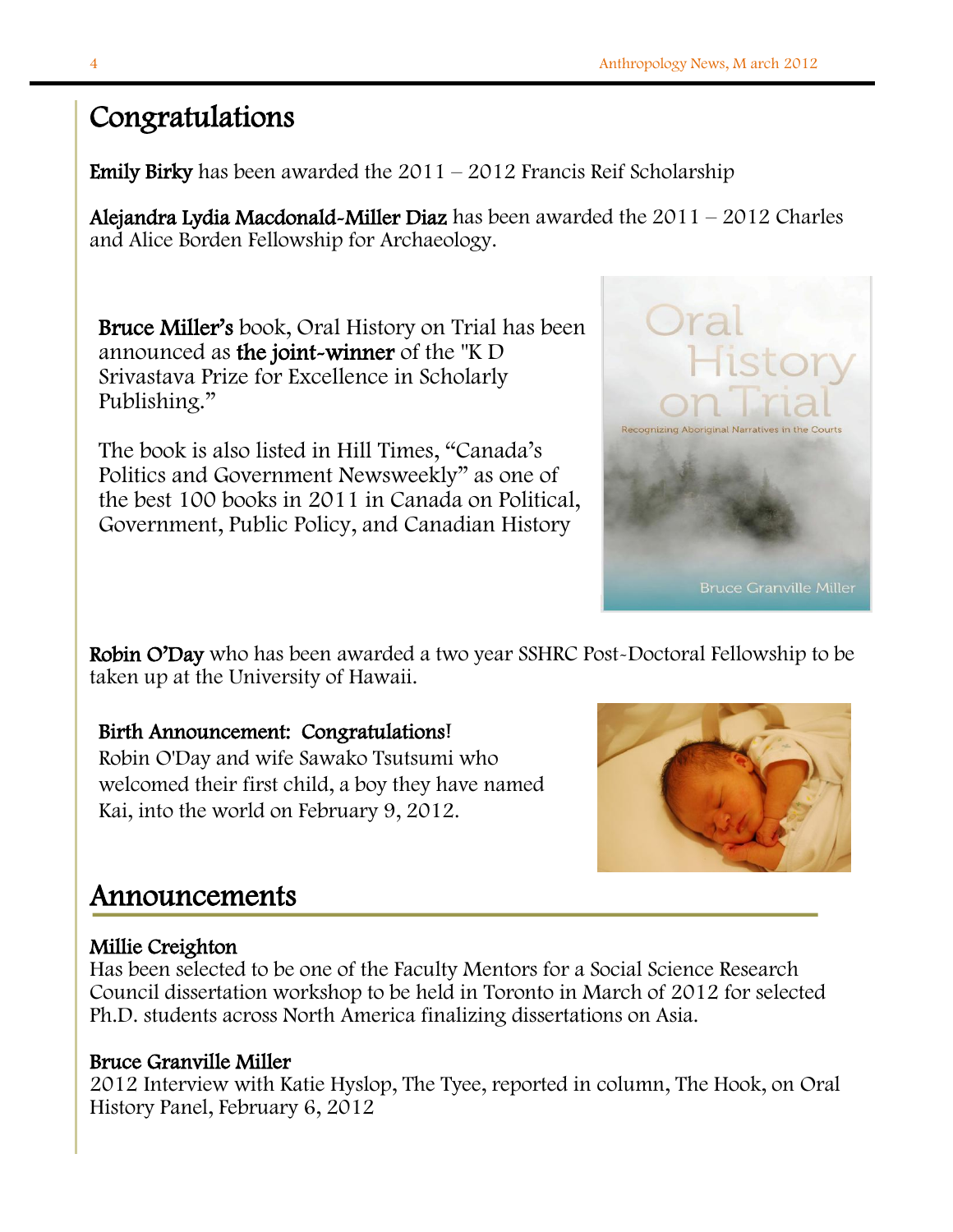### Congratulations

**Emily Birky** has been awarded the  $2011 - 2012$  Francis Reif Scholarship

Alejandra Lydia Macdonald-Miller Diaz has been awarded the  $2011 - 2012$  Charles and Alice Borden Fellowship for Archaeology.

Bruce Miller's book, Oral History on Trial has been announced as the joint-winner of the "K D Srivastava Prize for Excellence in Scholarly Publishing."

The book is also listed in Hill Times, "Canada's Politics and Government Newsweekly" as one of the best 100 books in 2011 in Canada on Political, Government, Public Policy, and Canadian History



Robin O'Day who has been awarded a two year SSHRC Post-Doctoral Fellowship to be taken up at the University of Hawaii.

### Birth Announcement: Congratulations!

Robin O'Day and wife Sawako Tsutsumi who welcomed their first child, a boy they have named Kai, into the world on February 9, 2012.



### Announcements

#### I Millie Creighton

Has been selected to be one of the Faculty Mentors for a Social Science Research Council dissertation workshop to be held in Toronto in March of 2012 for selected Ph.D. students across North America finalizing dissertations on Asia.

### Bruce Granville Miller

2012 Interview with Katie Hyslop, The Tyee, reported in column, The Hook, on Oral History Panel, February 6, 2012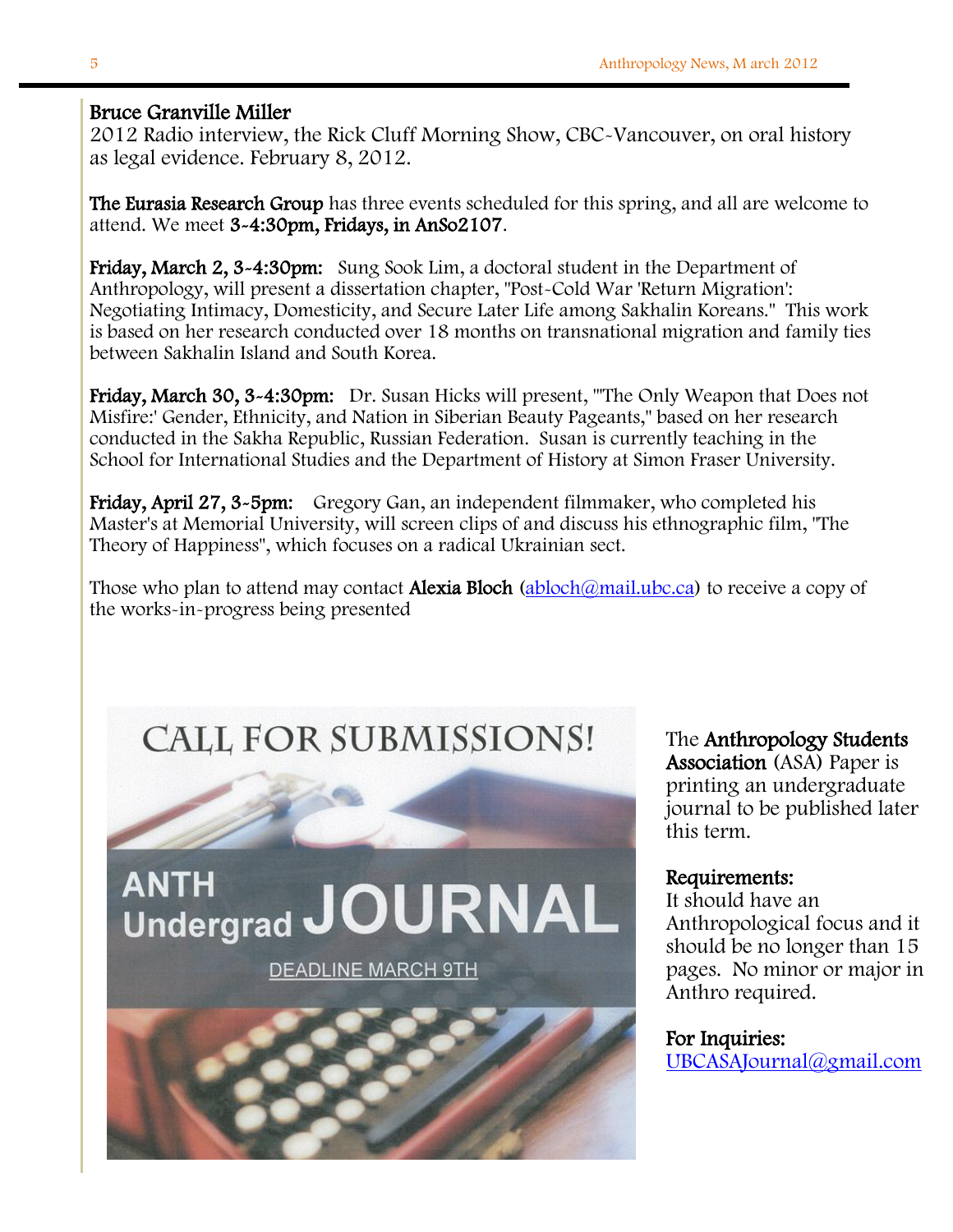#### Bruce Granville Miller

2012 Radio interview, the Rick Cluff Morning Show, CBC-Vancouver, on oral history as legal evidence. February 8, 2012.

The Eurasia Research Group has three events scheduled for this spring, and all are welcome to attend. We meet 3-4:30pm, Fridays, in AnSo2107.

Friday, March 2, 3~4:30pm: Sung Sook Lim, a doctoral student in the Department of Anthropology, will present a dissertation chapter, "Post-Cold War 'Return Migration': Negotiating Intimacy, Domesticity, and Secure Later Life among Sakhalin Koreans." This work is based on her research conducted over 18 months on transnational migration and family ties between Sakhalin Island and South Korea.

Friday, March 30, 3~4:30pm: Dr. Susan Hicks will present, "The Only Weapon that Does not Misfire:' Gender, Ethnicity, and Nation in Siberian Beauty Pageants," based on her research conducted in the Sakha Republic, Russian Federation. Susan is currently teaching in the School for International Studies and the Department of History at Simon Fraser University.

Friday, April 27, 3-5pm: Gregory Gan, an independent filmmaker, who completed his Master's at Memorial University, will screen clips of and discuss his ethnographic film, "The Theory of Happiness", which focuses on a radical Ukrainian sect.

Those who plan to attend may contact **Alexia Bloch** (abloch  $\omega$  mail.ubc.ca) to receive a copy of the works-in-progress being presented

# **CALL FOR SUBMISSIONS!**



The Anthropology Students Association (ASA) Paper is printing an undergraduate this term.

#### Requirements:

It should have an Anthropological focus and it should be no longer than 15 pages. No minor or major in

#### For Inquiries:

[UBCASAJournal@gmail.com](mailto:UBCASAJournal@gmail.com)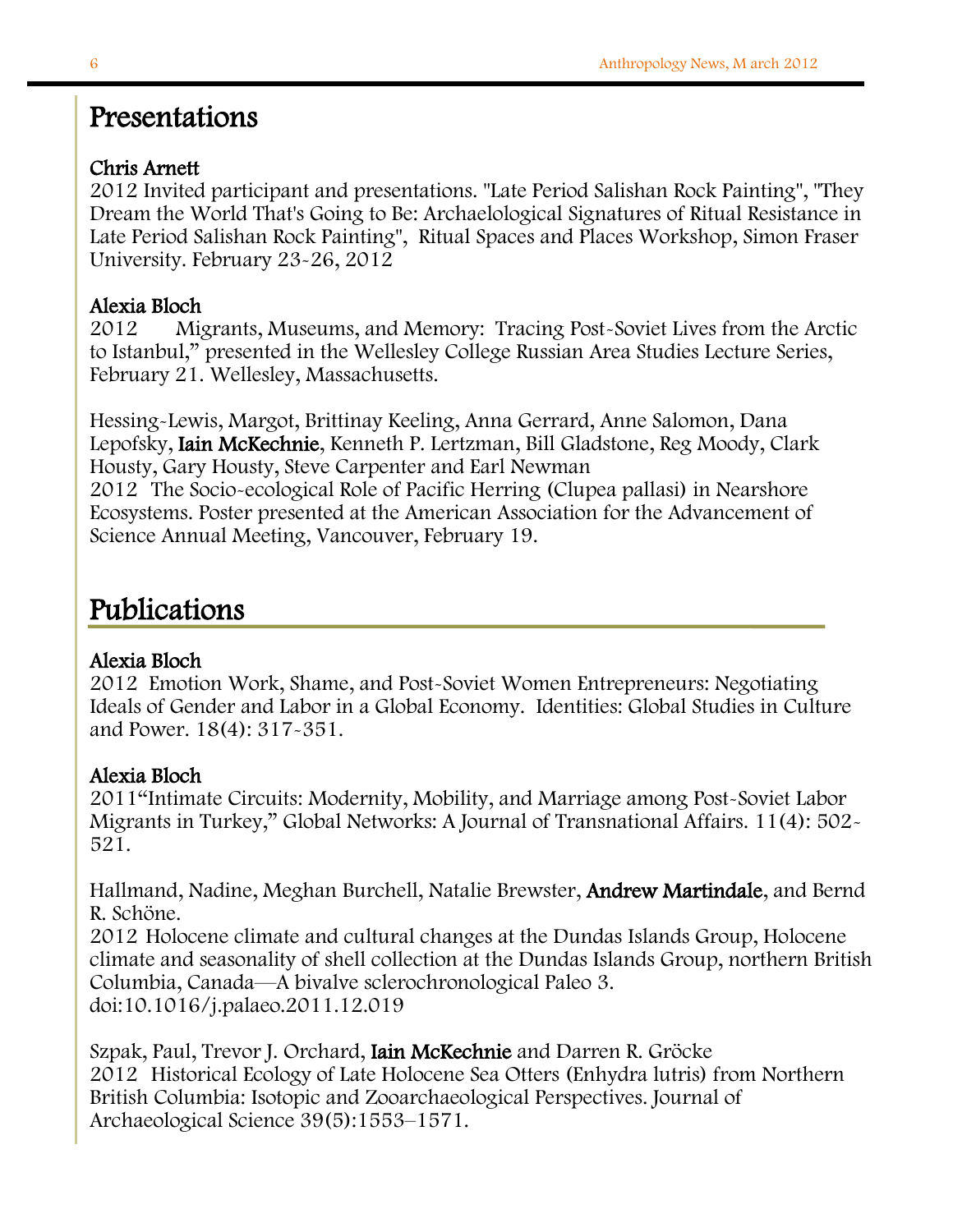### Presentations

### Chris Arnett

2012 Invited participant and presentations. "Late Period Salishan Rock Painting", "They Dream the World That's Going to Be: Archaelological Signatures of Ritual Resistance in Late Period Salishan Rock Painting", Ritual Spaces and Places Workshop, Simon Fraser University. February 23-26, 2012

### Alexia Bloch

2012 Migrants, Museums, and Memory: Tracing Post-Soviet Lives from the Arctic to Istanbul," presented in the Wellesley College Russian Area Studies Lecture Series, February 21. Wellesley, Massachusetts.

Hessing-Lewis, Margot, Brittinay Keeling, Anna Gerrard, Anne Salomon, Dana Lepofsky, Iain McKechnie, Kenneth P. Lertzman, Bill Gladstone, Reg Moody, Clark Housty, Gary Housty, Steve Carpenter and Earl Newman 2012 The Socio-ecological Role of Pacific Herring (Clupea pallasi) in Nearshore Ecosystems. Poster presented at the American Association for the Advancement of Science Annual Meeting, Vancouver, February 19.

### Publications

### Alexia Bloch

2012 Emotion Work, Shame, and Post-Soviet Women Entrepreneurs: Negotiating Ideals of Gender and Labor in a Global Economy. Identities: Global Studies in Culture and Power. 18(4): 317-351.

### Alexia Bloch

2011"Intimate Circuits: Modernity, Mobility, and Marriage among Post-Soviet Labor Migrants in Turkey," Global Networks: A Journal of Transnational Affairs. 11(4): 502- 521.

Hallmand, Nadine, Meghan Burchell, Natalie Brewster, Andrew Martindale, and Bernd R. Schöne.

2012 Holocene climate and cultural changes at the Dundas Islands Group, Holocene climate and seasonality of shell collection at the Dundas Islands Group, northern British Columbia, Canada—A bivalve sclerochronological Paleo 3. doi:10.1016/j.palaeo.2011.12.019

Szpak, Paul, Trevor J. Orchard, Iain McKechnie and Darren R. Gröcke 2012 Historical Ecology of Late Holocene Sea Otters (Enhydra lutris) from Northern British Columbia: Isotopic and Zooarchaeological Perspectives. Journal of Archaeological Science 39(5):1553–1571.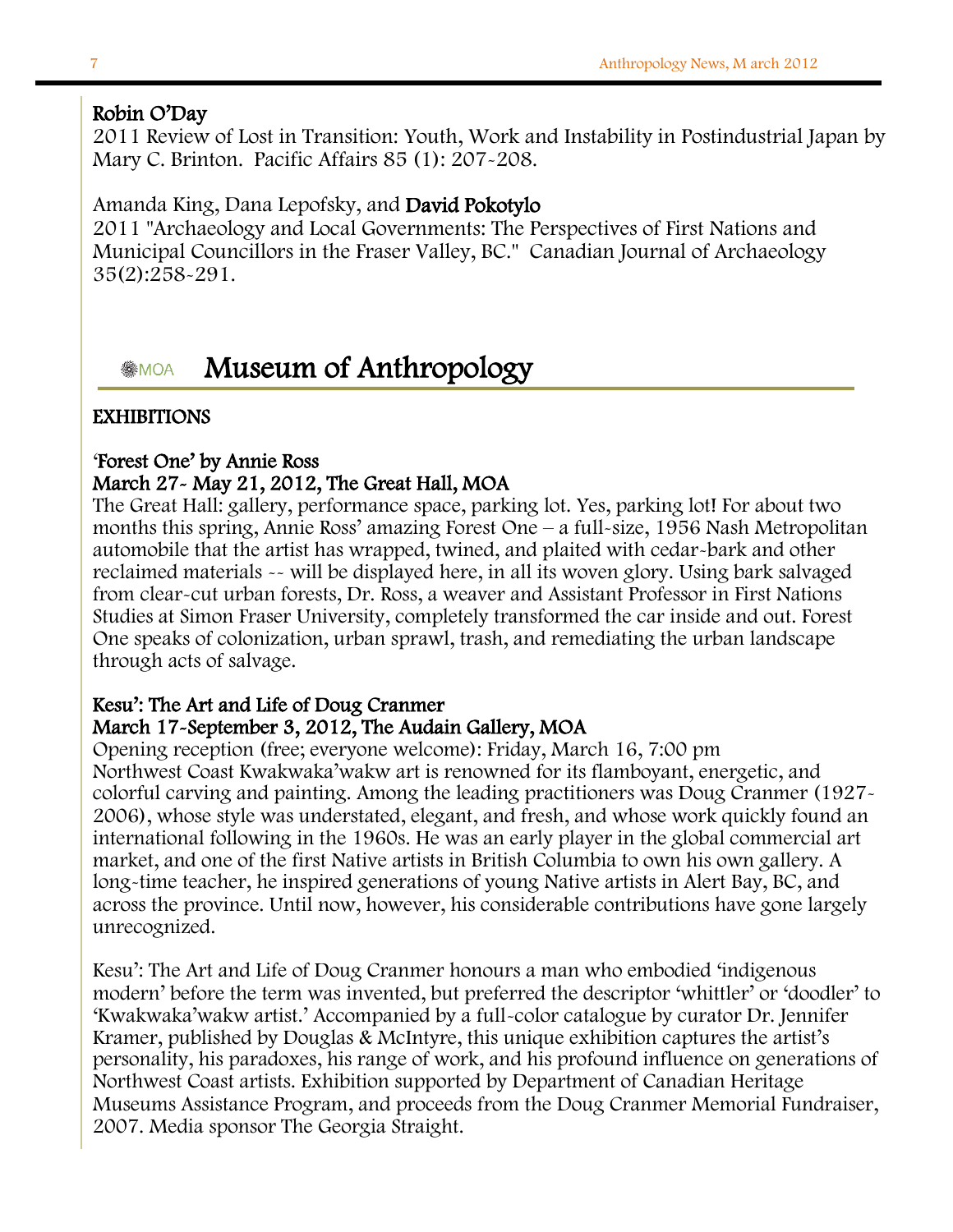### Robin O'Day

1 "Archaeology and Local Governments: The Perspectives of First Nations and 2011 Review of Lost in Transition: Youth, Work and Instability in Postindustrial Japan by Mary C. Brinton. Pacific Affairs 85 (1): 207-208.

### Amanda King, Dana Lepofsky, and David Pokotylo

2011 "Archaeology and Local Governments: The Perspectives of First Nations and Municipal Councillors in the Fraser Valley, BC." Canadian Journal of Archaeology 35(2):258-291.

### **MUSEUM of Anthropology**

#### months this spring, Annie Ross' amazing Forest One – a full-size, 1956 Nash Metropolitan Forest One – a full-s **EXHIBITIONS**

### 'Forest One' by Annie Ross

### March 27 - May 21, 2012, The Great Hall, MOA

 The Great Hall: gallery, performance space, parking lot. Yes, parking lot! For about two months this spring, Annie Ross' amazing Forest One – a full-size, 1956 Nash Metropolitan automobile that the artist has wrapped, twined, and plaited with cedar-bark and other reclaimed materials -- will be displayed here, in all its woven glory. Using bark salvaged from clear-cut urban forests, Dr. Ross, a weaver and Assistant Professor in First Nations Studies at Simon Fraser University, completely transformed the car inside and out. Forest One speaks of colonization, urban sprawl, trash, and remediating the urban landscape through acts of salvage.

### Kesu': The Art and Life of Doug Cranmer March 17-September 3, 2012, The Audain Gallery, MOA

 Opening reception (free; everyone welcome): Friday, March 16, 7:00 pm Northwest Coast Kwakwaka'wakw art is renowned for its flamboyant, energetic, and colorful carving and painting. Among the leading practitioners was Doug Cranmer (1927- 2006), whose style was understated, elegant, and fresh, and whose work quickly found an international following in the 1960s. He was an early player in the global commercial art market, and one of the first Native artists in British Columbia to own his own gallery. A long-time teacher, he inspired generations of young Native artists in Alert Bay, BC, and unrecognized. across the province. Until now, however, his considerable contributions have gone largely

 Kesu': The Art and Life of Doug Cranmer honours a man who embodied 'indigenous modern' before the term was invented, but preferred the descriptor 'whittler' or 'doodler' to 'Kwakwaka'wakw artist.' Accompanied by a full-color catalogue by curator Dr. Jennifer Kramer, published by Douglas & McIntyre, this unique exhibition captures the artist's personality, his paradoxes, his range of work, and his profound influence on generations of Northwest Coast artists. Exhibition supported by Department of Canadian Heritage Museums Assistance Program, and proceeds from the Doug Cranmer Memorial Fundraiser, 2007. Media sponsor The Georgia Straight.